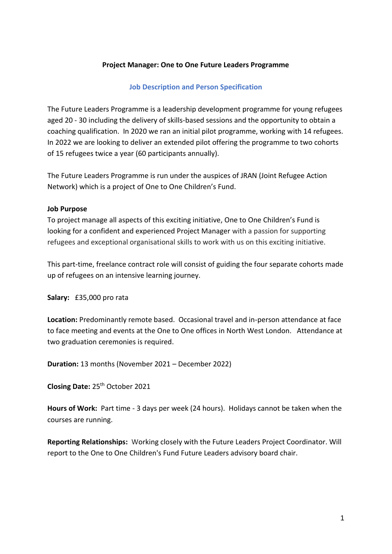#### **Project Manager: One to One Future Leaders Programme**

#### **Job Description and Person Specification**

The Future Leaders Programme is a leadership development programme for young refugees aged 20 - 30 including the delivery of skills-based sessions and the opportunity to obtain a coaching qualification. In 2020 we ran an initial pilot programme, working with 14 refugees. In 2022 we are looking to deliver an extended pilot offering the programme to two cohorts of 15 refugees twice a year (60 participants annually).

The Future Leaders Programme is run under the auspices of JRAN (Joint Refugee Action Network) which is a project of One to One Children's Fund.

#### **Job Purpose**

To project manage all aspects of this exciting initiative, One to One Children's Fund is looking for a confident and experienced Project Manager with a passion for supporting refugees and exceptional organisational skills to work with us on this exciting initiative.

This part-time, freelance contract role will consist of guiding the four separate cohorts made up of refugees on an intensive learning journey.

**Salary:** £35,000 pro rata

**Location:** Predominantly remote based. Occasional travel and in-person attendance at face to face meeting and events at the One to One offices in North West London. Attendance at two graduation ceremonies is required.

**Duration:** 13 months (November 2021 – December 2022)

**Closing Date:** 25th October 2021

**Hours of Work:** Part time - 3 days per week (24 hours). Holidays cannot be taken when the courses are running.

**Reporting Relationships:** Working closely with the Future Leaders Project Coordinator. Will report to the One to One Children's Fund Future Leaders advisory board chair.